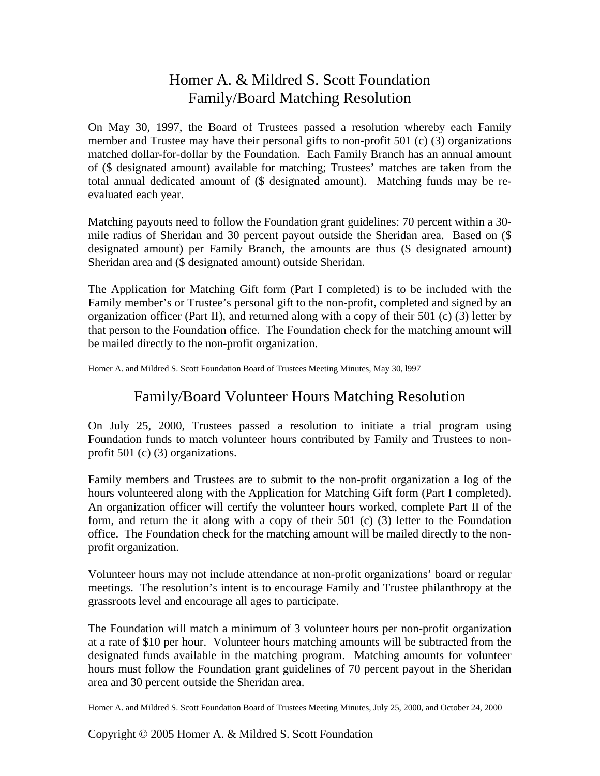## Homer A. & Mildred S. Scott Foundation Family/Board Matching Resolution

On May 30, 1997, the Board of Trustees passed a resolution whereby each Family member and Trustee may have their personal gifts to non-profit 501 (c) (3) organizations matched dollar-for-dollar by the Foundation. Each Family Branch has an annual amount of (\$ designated amount) available for matching; Trustees' matches are taken from the total annual dedicated amount of (\$ designated amount). Matching funds may be reevaluated each year.

Matching payouts need to follow the Foundation grant guidelines: 70 percent within a 30 mile radius of Sheridan and 30 percent payout outside the Sheridan area. Based on (\$ designated amount) per Family Branch, the amounts are thus (\$ designated amount) Sheridan area and (\$ designated amount) outside Sheridan.

The Application for Matching Gift form (Part I completed) is to be included with the Family member's or Trustee's personal gift to the non-profit, completed and signed by an organization officer (Part II), and returned along with a copy of their 501 (c) (3) letter by that person to the Foundation office. The Foundation check for the matching amount will be mailed directly to the non-profit organization.

Homer A. and Mildred S. Scott Foundation Board of Trustees Meeting Minutes, May 30, l997

## Family/Board Volunteer Hours Matching Resolution

On July 25, 2000, Trustees passed a resolution to initiate a trial program using Foundation funds to match volunteer hours contributed by Family and Trustees to nonprofit 501 (c) (3) organizations.

Family members and Trustees are to submit to the non-profit organization a log of the hours volunteered along with the Application for Matching Gift form (Part I completed). An organization officer will certify the volunteer hours worked, complete Part II of the form, and return the it along with a copy of their 501 (c) (3) letter to the Foundation office. The Foundation check for the matching amount will be mailed directly to the nonprofit organization.

Volunteer hours may not include attendance at non-profit organizations' board or regular meetings. The resolution's intent is to encourage Family and Trustee philanthropy at the grassroots level and encourage all ages to participate.

The Foundation will match a minimum of 3 volunteer hours per non-profit organization at a rate of \$10 per hour. Volunteer hours matching amounts will be subtracted from the designated funds available in the matching program. Matching amounts for volunteer hours must follow the Foundation grant guidelines of 70 percent payout in the Sheridan area and 30 percent outside the Sheridan area.

Homer A. and Mildred S. Scott Foundation Board of Trustees Meeting Minutes, July 25, 2000, and October 24, 2000

Copyright © 2005 Homer A. & Mildred S. Scott Foundation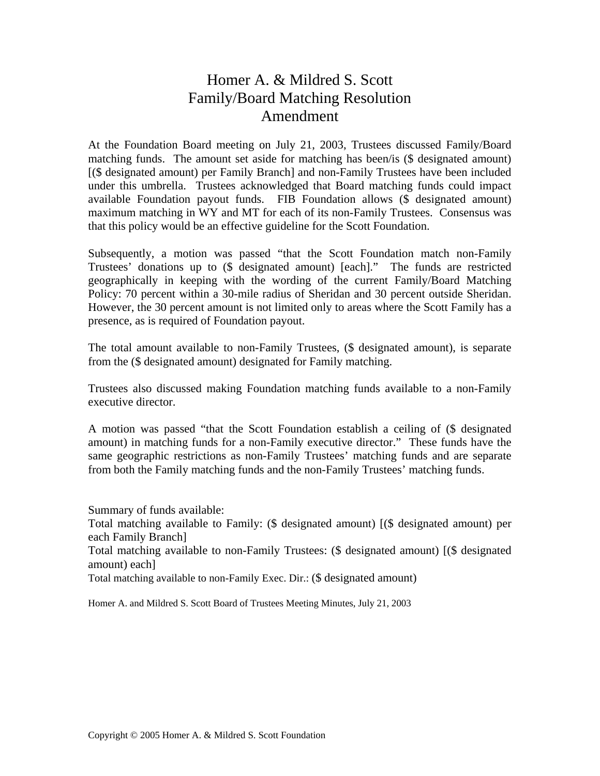## Homer A. & Mildred S. Scott Family/Board Matching Resolution Amendment

At the Foundation Board meeting on July 21, 2003, Trustees discussed Family/Board matching funds. The amount set aside for matching has been/is (\$ designated amount) [(\$ designated amount) per Family Branch] and non-Family Trustees have been included under this umbrella. Trustees acknowledged that Board matching funds could impact available Foundation payout funds. FIB Foundation allows (\$ designated amount) maximum matching in WY and MT for each of its non-Family Trustees. Consensus was that this policy would be an effective guideline for the Scott Foundation.

Subsequently, a motion was passed "that the Scott Foundation match non-Family Trustees' donations up to (\$ designated amount) [each]." The funds are restricted geographically in keeping with the wording of the current Family/Board Matching Policy: 70 percent within a 30-mile radius of Sheridan and 30 percent outside Sheridan. However, the 30 percent amount is not limited only to areas where the Scott Family has a presence, as is required of Foundation payout.

The total amount available to non-Family Trustees, (\$ designated amount), is separate from the (\$ designated amount) designated for Family matching.

Trustees also discussed making Foundation matching funds available to a non-Family executive director.

A motion was passed "that the Scott Foundation establish a ceiling of (\$ designated amount) in matching funds for a non-Family executive director." These funds have the same geographic restrictions as non-Family Trustees' matching funds and are separate from both the Family matching funds and the non-Family Trustees' matching funds.

Summary of funds available:

Total matching available to Family: (\$ designated amount) [(\$ designated amount) per each Family Branch]

Total matching available to non-Family Trustees: (\$ designated amount) [(\$ designated amount) each]

Total matching available to non-Family Exec. Dir.: (\$ designated amount)

Homer A. and Mildred S. Scott Board of Trustees Meeting Minutes, July 21, 2003